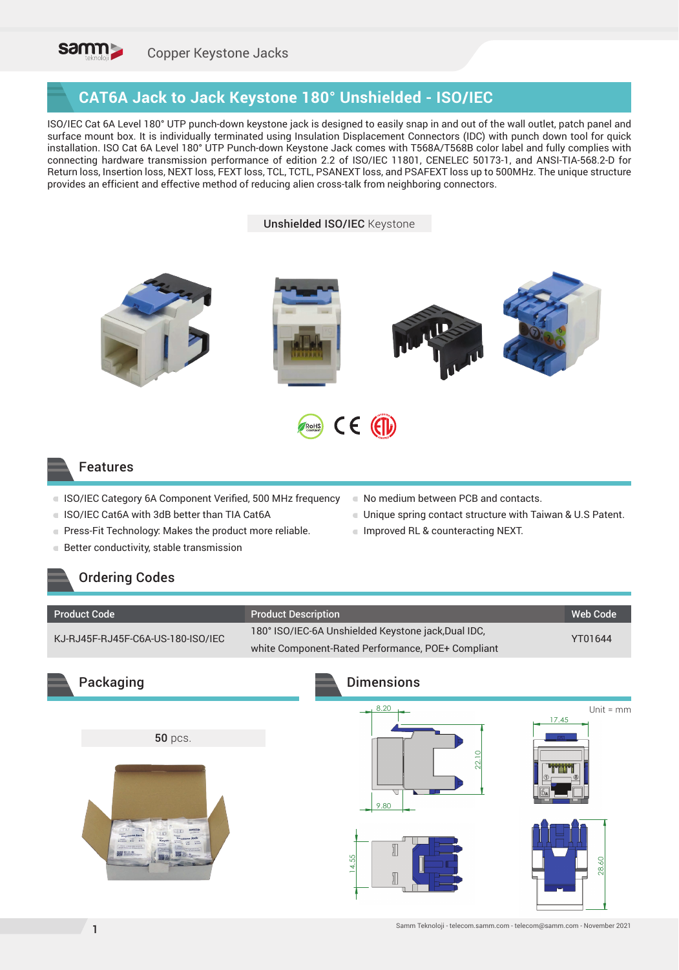

#### **CAT6A Jack to Jack Keystone 180° Unshielded - ISO/IEC**

ISO/IEC Cat 6A Level 180° UTP punch-down keystone jack is designed to easily snap in and out of the wall outlet, patch panel and surface mount box. It is individually terminated using Insulation Displacement Connectors (IDC) with punch down tool for quick installation. ISO Cat 6A Level 180° UTP Punch-down Keystone Jack comes with T568A/T568B color label and fully complies with connecting hardware transmission performance of edition 2.2 of ISO/IEC 11801, CENELEC 50173-1, and ANSI-TIA-568.2-D for Return loss, Insertion loss, NEXT loss, FEXT loss, TCL, TCTL, PSANEXT loss, and PSAFEXT loss up to 500MHz. The unique structure provides an efficient and effective method of reducing alien cross-talk from neighboring connectors.

Unshielded ISO/IEC Keystone